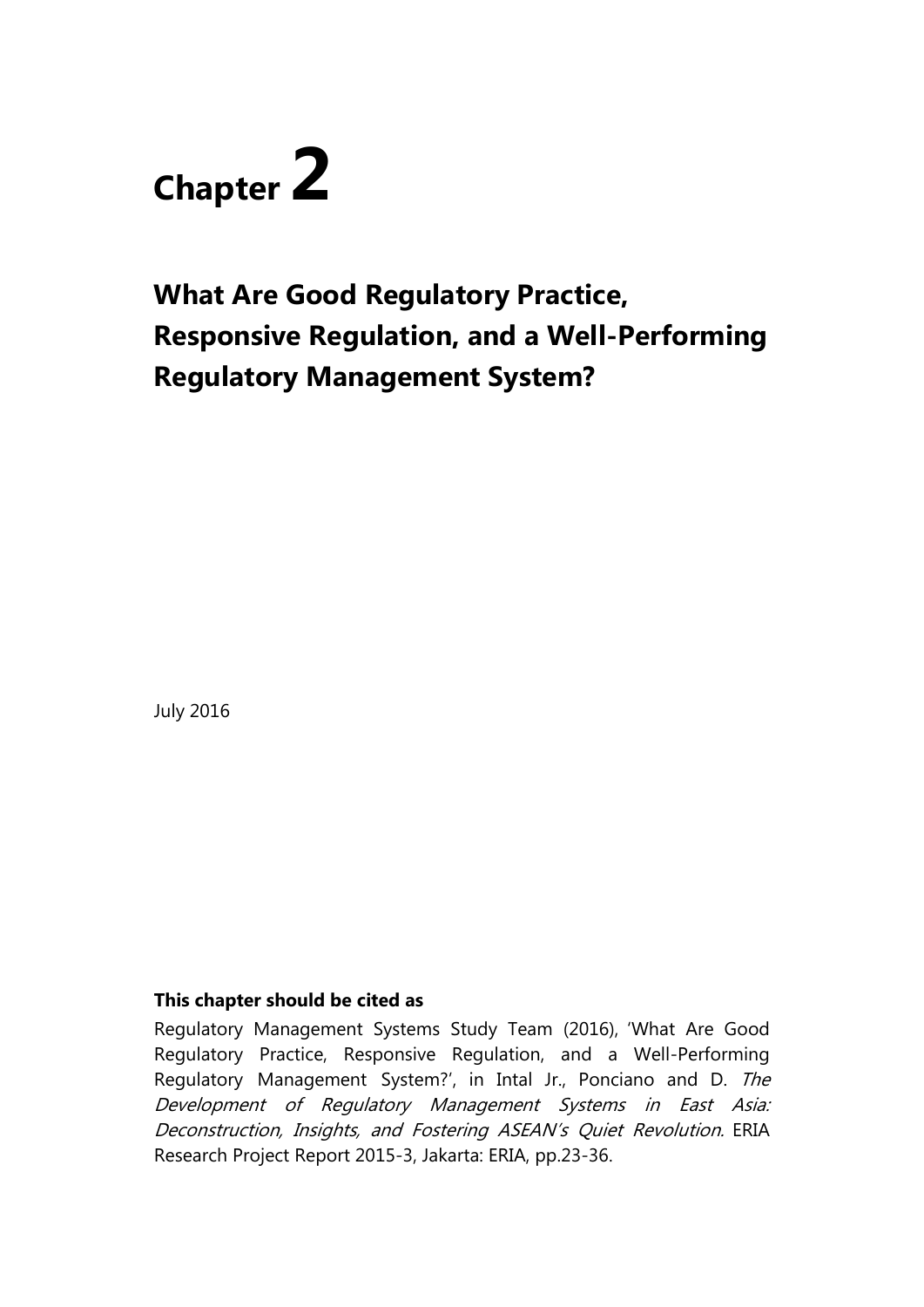# **Chapter 2**

# **What Are Good Regulatory Practice, Responsive Regulation, and a Well-Performing Regulatory Management System?**

July 2016

### **This chapter should be cited as**

Regulatory Management Systems Study Team (2016), 'What Are Good Regulatory Practice, Responsive Regulation, and a Well-Performing Regulatory Management System?', in Intal Jr., Ponciano and D. The Development of Regulatory Management Systems in East Asia: Deconstruction, Insights, and Fostering ASEAN's Quiet Revolution. ERIA Research Project Report 2015-3, Jakarta: ERIA, pp.23-36.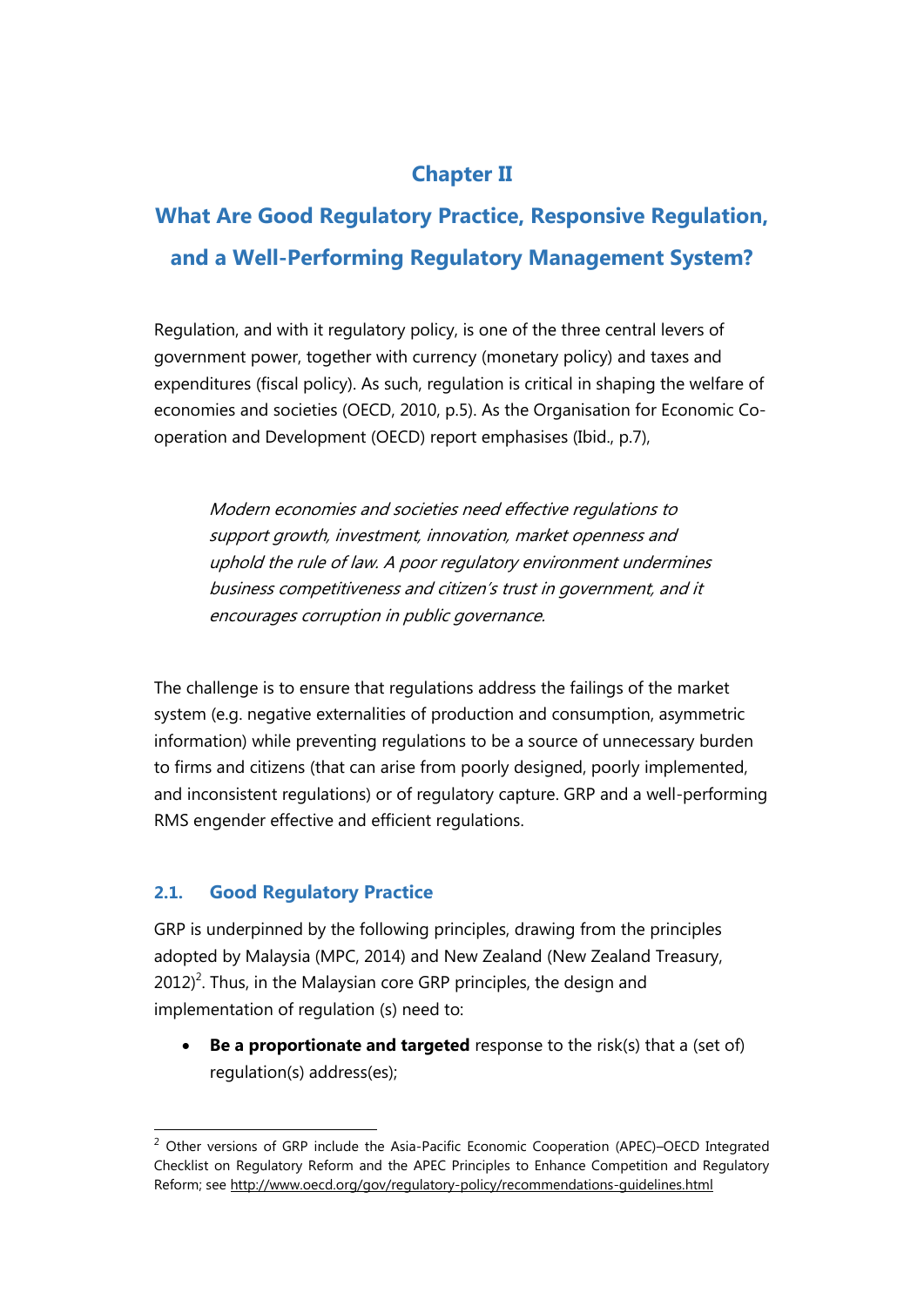## **Chapter II**

## **What Are Good Regulatory Practice, Responsive Regulation, and a Well-Performing Regulatory Management System?**

Regulation, and with it regulatory policy, is one of the three central levers of government power, together with currency (monetary policy) and taxes and expenditures (fiscal policy). As such, regulation is critical in shaping the welfare of economies and societies (OECD, 2010, p.5). As the Organisation for Economic Cooperation and Development (OECD) report emphasises (Ibid., p.7),

Modern economies and societies need effective regulations to support growth, investment, innovation, market openness and uphold the rule of law. A poor regulatory environment undermines business competitiveness and citizen's trust in government, and it encourages corruption in public governance.

The challenge is to ensure that regulations address the failings of the market system (e.g. negative externalities of production and consumption, asymmetric information) while preventing regulations to be a source of unnecessary burden to firms and citizens (that can arise from poorly designed, poorly implemented, and inconsistent regulations) or of regulatory capture. GRP and a well-performing RMS engender effective and efficient regulations.

### **2.1. Good Regulatory Practice**

GRP is underpinned by the following principles, drawing from the principles adopted by Malaysia (MPC, 2014) and New Zealand (New Zealand Treasury,  $2012$ <sup>2</sup>. Thus, in the Malaysian core GRP principles, the design and implementation of regulation (s) need to:

 **Be a proportionate and targeted** response to the risk(s) that a (set of) regulation(s) address(es);

 $\overline{a}$  $2$  Other versions of GRP include the Asia-Pacific Economic Cooperation (APEC)–OECD Integrated Checklist on Regulatory Reform and the APEC Principles to Enhance Competition and Regulatory Reform; see<http://www.oecd.org/gov/regulatory-policy/recommendations-guidelines.html>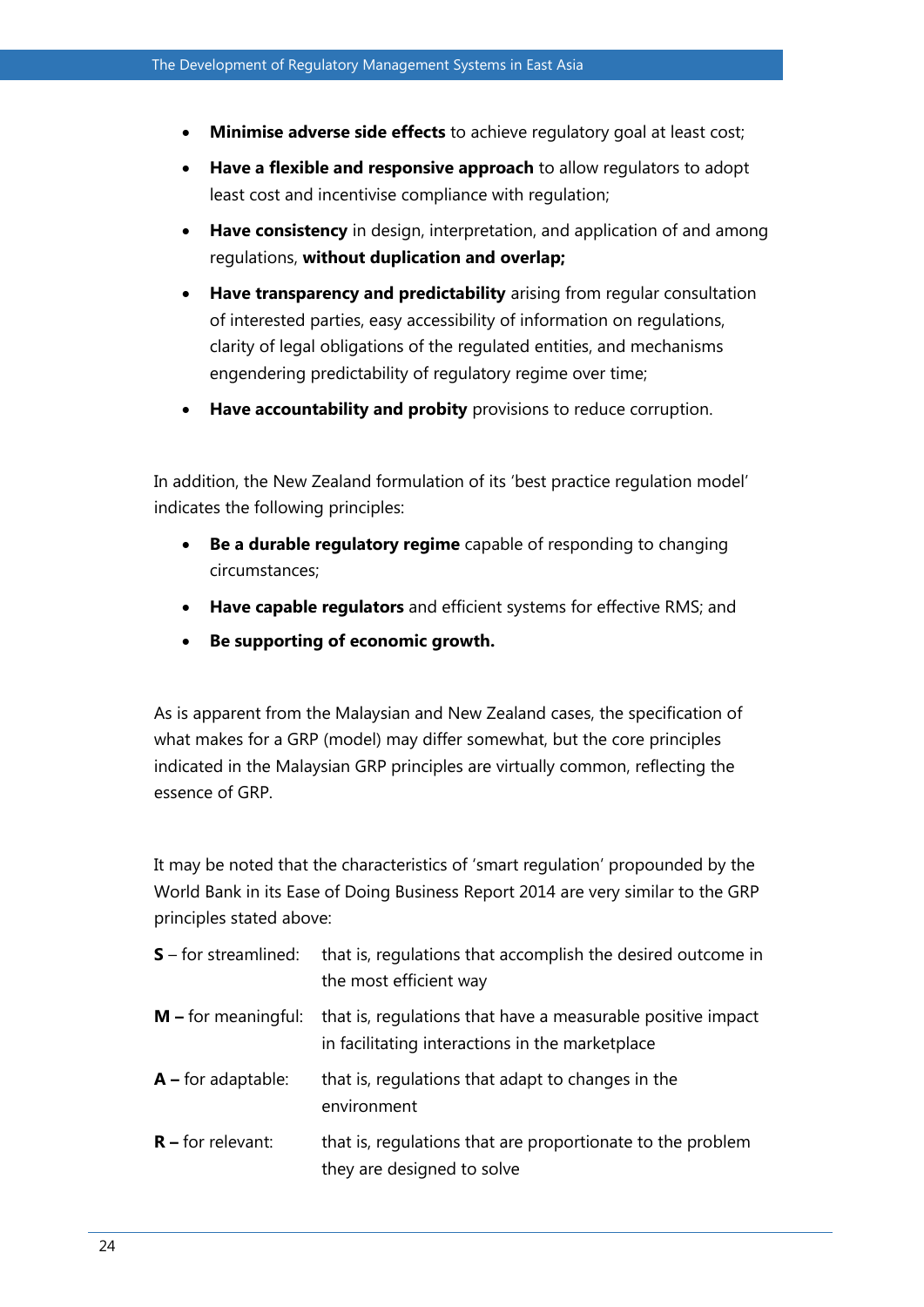- **Minimise adverse side effects** to achieve regulatory goal at least cost;
- **Have a flexible and responsive approach** to allow regulators to adopt least cost and incentivise compliance with regulation;
- **Have consistency** in design, interpretation, and application of and among regulations, **without duplication and overlap;**
- **Have transparency and predictability** arising from regular consultation of interested parties, easy accessibility of information on regulations, clarity of legal obligations of the regulated entities, and mechanisms engendering predictability of regulatory regime over time;
- **Have accountability and probity** provisions to reduce corruption.

In addition, the New Zealand formulation of its 'best practice regulation model' indicates the following principles:

- **Be a durable regulatory regime** capable of responding to changing circumstances;
- **Have capable regulators** and efficient systems for effective RMS; and
- **Be supporting of economic growth.**

As is apparent from the Malaysian and New Zealand cases, the specification of what makes for a GRP (model) may differ somewhat, but the core principles indicated in the Malaysian GRP principles are virtually common, reflecting the essence of GRP.

It may be noted that the characteristics of 'smart regulation' propounded by the World Bank in its Ease of Doing Business Report 2014 are very similar to the GRP principles stated above:

| $S$ – for streamlined: | that is, regulations that accomplish the desired outcome in<br>the most efficient way                          |
|------------------------|----------------------------------------------------------------------------------------------------------------|
| $M$ – for meaningful:  | that is, regulations that have a measurable positive impact<br>in facilitating interactions in the marketplace |
| $A$ – for adaptable:   | that is, regulations that adapt to changes in the<br>environment                                               |
| $R$ – for relevant:    | that is, regulations that are proportionate to the problem<br>they are designed to solve                       |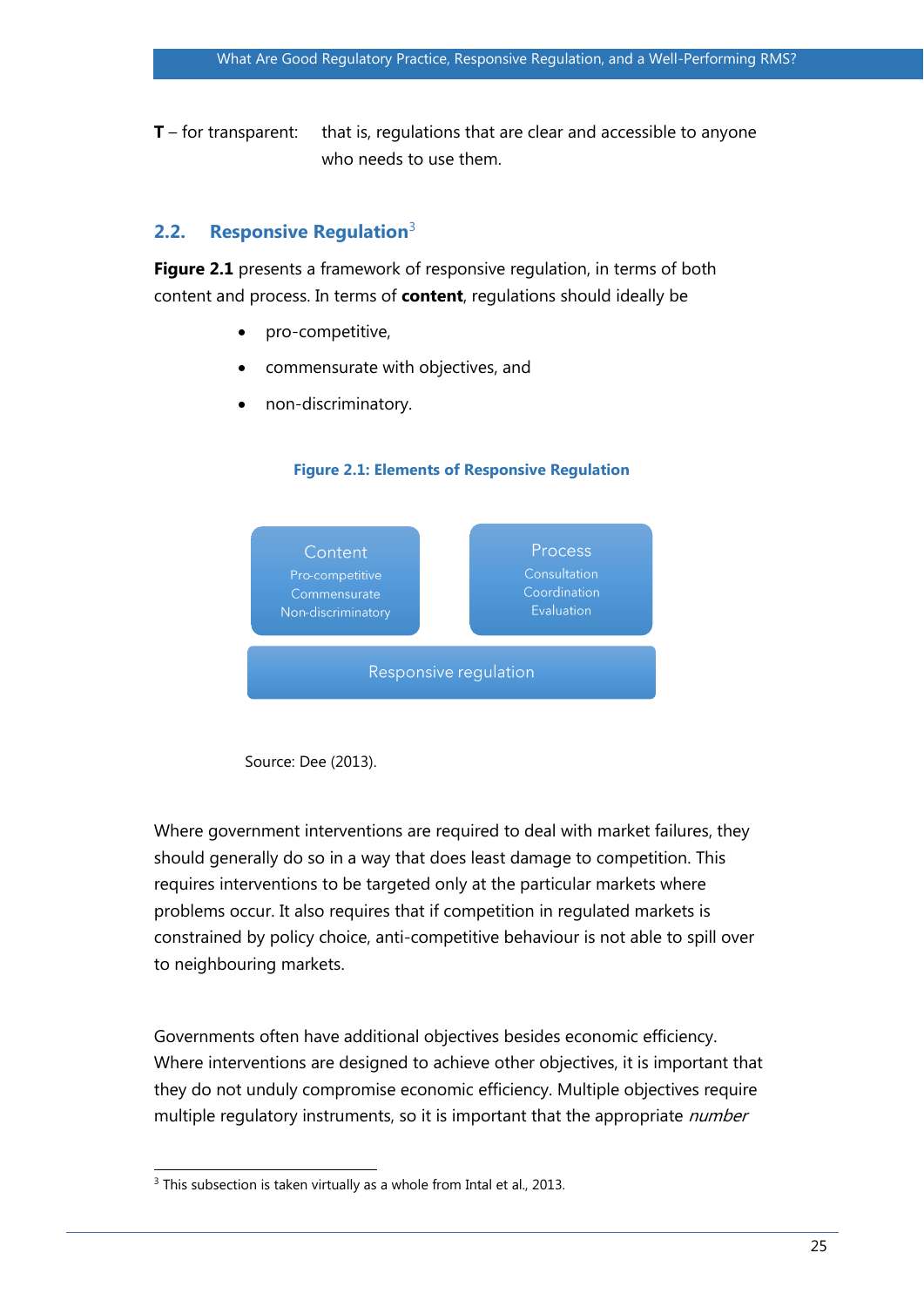**T** – for transparent: that is, regulations that are clear and accessible to anyone who needs to use them.

#### **2.2. Responsive Regulation**<sup>3</sup>

**Figure 2.1** presents a framework of responsive regulation, in terms of both content and process. In terms of **content**, regulations should ideally be

- pro-competitive,
- commensurate with objectives, and
- non-discriminatory.





Source: Dee (2013).

Where government interventions are required to deal with market failures, they should generally do so in a way that does least damage to competition. This requires interventions to be targeted only at the particular markets where problems occur. It also requires that if competition in regulated markets is constrained by policy choice, anti-competitive behaviour is not able to spill over to neighbouring markets.

Governments often have additional objectives besides economic efficiency. Where interventions are designed to achieve other objectives, it is important that they do not unduly compromise economic efficiency. Multiple objectives require multiple regulatory instruments, so it is important that the appropriate *number* 

 $\overline{a}$  $3$  This subsection is taken virtually as a whole from Intal et al., 2013.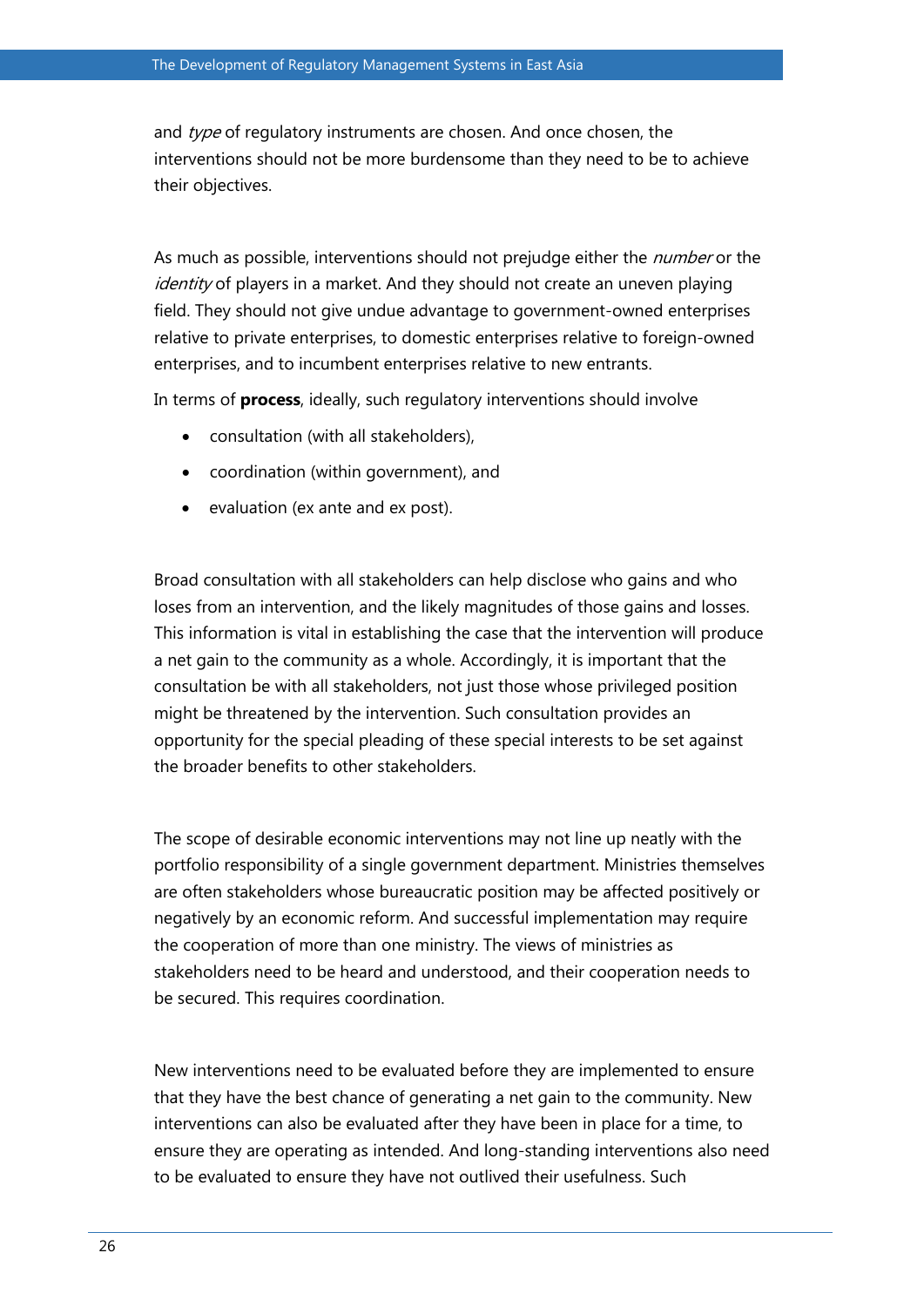and type of regulatory instruments are chosen. And once chosen, the interventions should not be more burdensome than they need to be to achieve their objectives.

As much as possible, interventions should not prejudge either the *number* or the identity of players in a market. And they should not create an uneven playing field. They should not give undue advantage to government-owned enterprises relative to private enterprises, to domestic enterprises relative to foreign-owned enterprises, and to incumbent enterprises relative to new entrants.

In terms of **process**, ideally, such regulatory interventions should involve

- consultation (with all stakeholders),
- coordination (within government), and
- evaluation (ex ante and ex post).

Broad consultation with all stakeholders can help disclose who gains and who loses from an intervention, and the likely magnitudes of those gains and losses. This information is vital in establishing the case that the intervention will produce a net gain to the community as a whole. Accordingly, it is important that the consultation be with all stakeholders, not just those whose privileged position might be threatened by the intervention. Such consultation provides an opportunity for the special pleading of these special interests to be set against the broader benefits to other stakeholders.

The scope of desirable economic interventions may not line up neatly with the portfolio responsibility of a single government department. Ministries themselves are often stakeholders whose bureaucratic position may be affected positively or negatively by an economic reform. And successful implementation may require the cooperation of more than one ministry. The views of ministries as stakeholders need to be heard and understood, and their cooperation needs to be secured. This requires coordination.

New interventions need to be evaluated before they are implemented to ensure that they have the best chance of generating a net gain to the community. New interventions can also be evaluated after they have been in place for a time, to ensure they are operating as intended. And long-standing interventions also need to be evaluated to ensure they have not outlived their usefulness. Such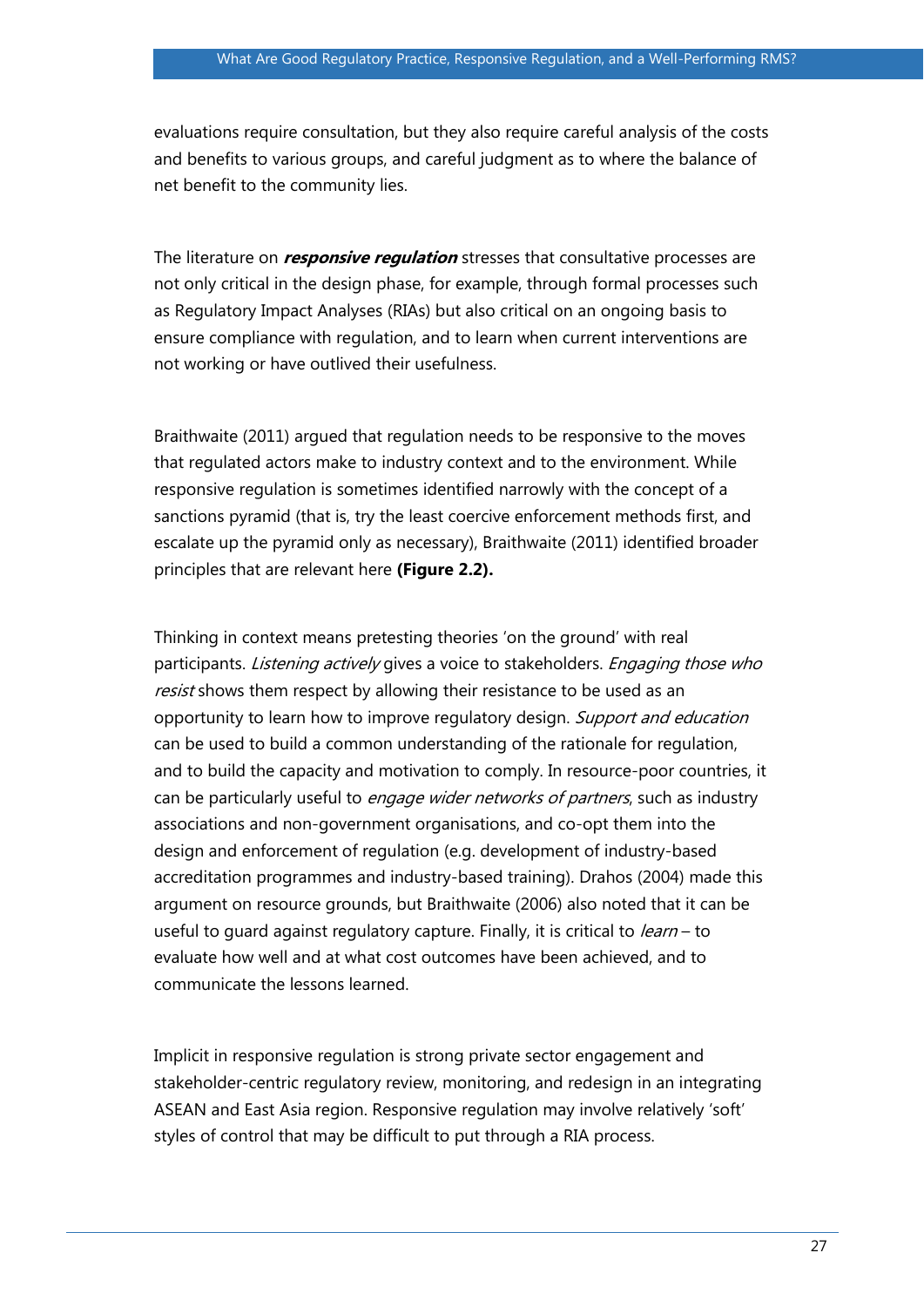evaluations require consultation, but they also require careful analysis of the costs and benefits to various groups, and careful judgment as to where the balance of net benefit to the community lies.

The literature on **responsive regulation** stresses that consultative processes are not only critical in the design phase, for example, through formal processes such as Regulatory Impact Analyses (RIAs) but also critical on an ongoing basis to ensure compliance with regulation, and to learn when current interventions are not working or have outlived their usefulness.

Braithwaite (2011) argued that regulation needs to be responsive to the moves that regulated actors make to industry context and to the environment. While responsive regulation is sometimes identified narrowly with the concept of a sanctions pyramid (that is, try the least coercive enforcement methods first, and escalate up the pyramid only as necessary), Braithwaite (2011) identified broader principles that are relevant here **(Figure 2.2).** 

Thinking in context means pretesting theories 'on the ground' with real participants. Listening actively gives a voice to stakeholders. Engaging those who resist shows them respect by allowing their resistance to be used as an opportunity to learn how to improve regulatory design. Support and education can be used to build a common understanding of the rationale for regulation, and to build the capacity and motivation to comply. In resource-poor countries, it can be particularly useful to engage wider networks of partners, such as industry associations and non-government organisations, and co-opt them into the design and enforcement of regulation (e.g. development of industry-based accreditation programmes and industry-based training). Drahos (2004) made this argument on resource grounds, but Braithwaite (2006) also noted that it can be useful to quard against regulatory capture. Finally, it is critical to *learn* – to evaluate how well and at what cost outcomes have been achieved, and to communicate the lessons learned.

Implicit in responsive regulation is strong private sector engagement and stakeholder-centric regulatory review, monitoring, and redesign in an integrating ASEAN and East Asia region. Responsive regulation may involve relatively 'soft' styles of control that may be difficult to put through a RIA process.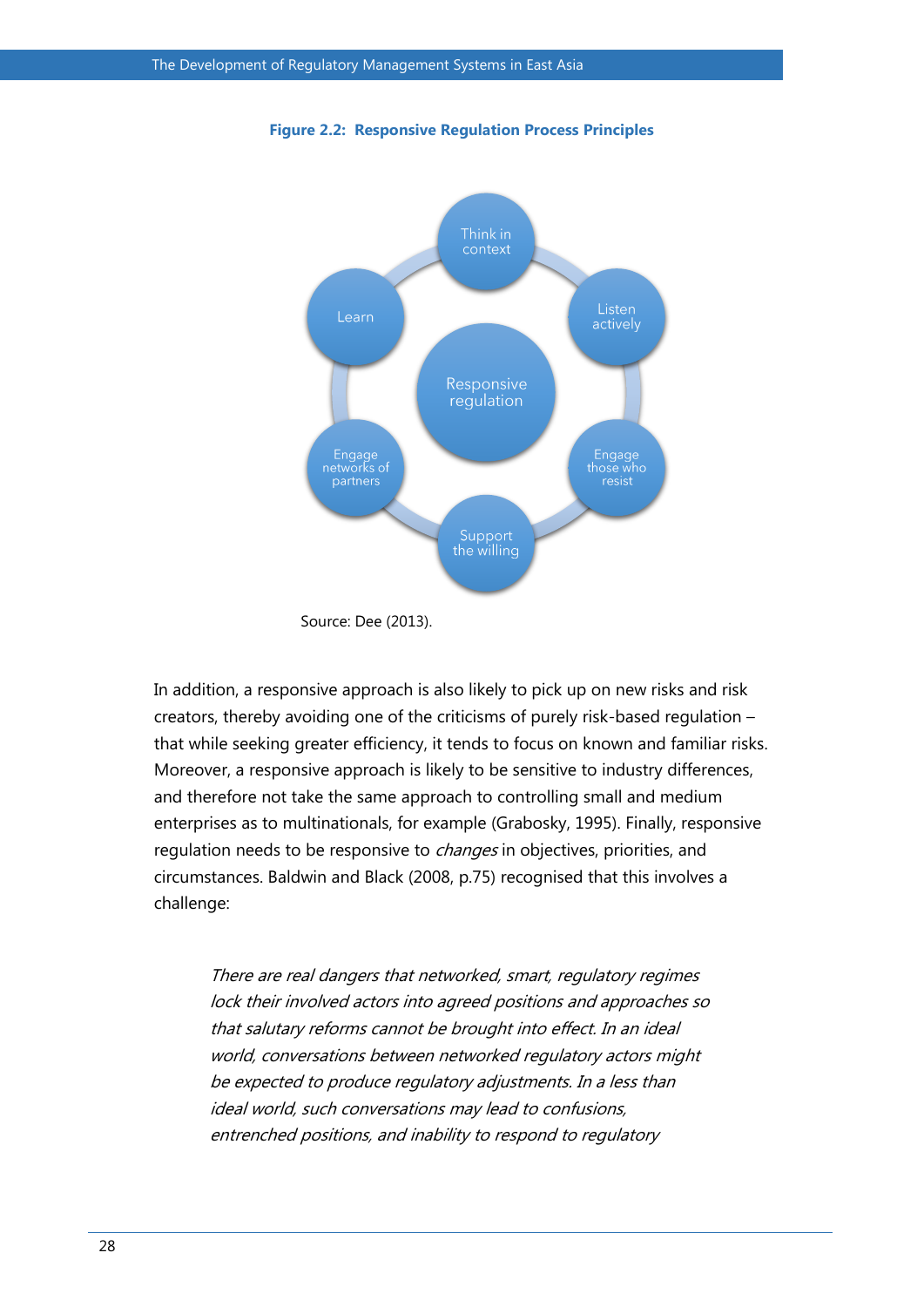

**Figure 2.2: Responsive Regulation Process Principles**

In addition, a responsive approach is also likely to pick up on new risks and risk creators, thereby avoiding one of the criticisms of purely risk-based regulation – that while seeking greater efficiency, it tends to focus on known and familiar risks. Moreover, a responsive approach is likely to be sensitive to industry differences, and therefore not take the same approach to controlling small and medium enterprises as to multinationals, for example (Grabosky, 1995). Finally, responsive regulation needs to be responsive to *changes* in objectives, priorities, and circumstances. Baldwin and Black (2008, p.75) recognised that this involves a challenge:

There are real dangers that networked, smart, regulatory regimes lock their involved actors into agreed positions and approaches so that salutary reforms cannot be brought into effect. In an ideal world, conversations between networked regulatory actors might be expected to produce regulatory adjustments. In a less than ideal world, such conversations may lead to confusions, entrenched positions, and inability to respond to regulatory

Source: Dee (2013).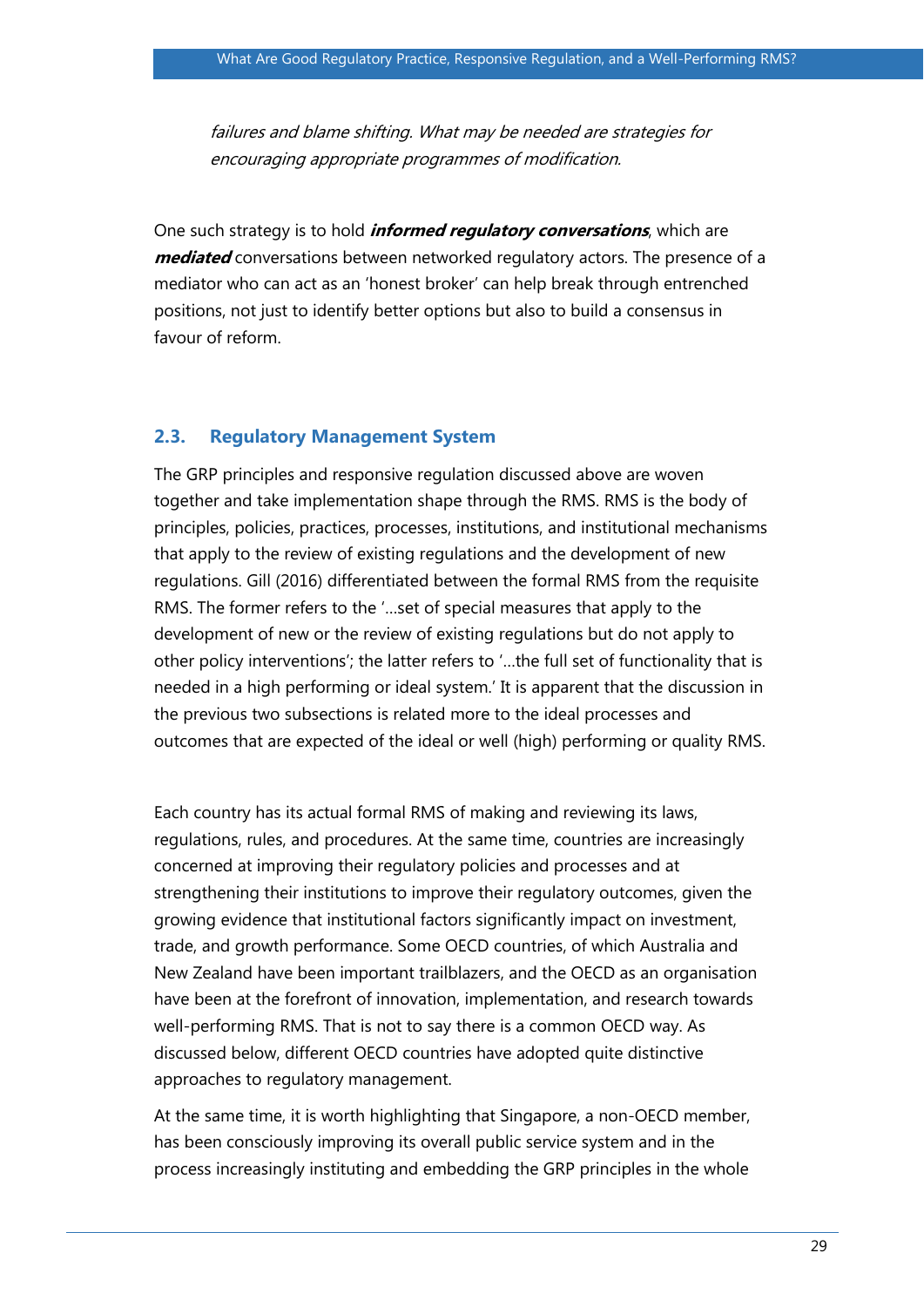failures and blame shifting. What may be needed are strategies for encouraging appropriate programmes of modification.

One such strategy is to hold **informed regulatory conversations**, which are **mediated** conversations between networked regulatory actors. The presence of a mediator who can act as an 'honest broker' can help break through entrenched positions, not just to identify better options but also to build a consensus in favour of reform.

#### **2.3. Regulatory Management System**

The GRP principles and responsive regulation discussed above are woven together and take implementation shape through the RMS. RMS is the body of principles, policies, practices, processes, institutions, and institutional mechanisms that apply to the review of existing regulations and the development of new regulations. Gill (2016) differentiated between the formal RMS from the requisite RMS. The former refers to the '…set of special measures that apply to the development of new or the review of existing regulations but do not apply to other policy interventions'; the latter refers to '…the full set of functionality that is needed in a high performing or ideal system.' It is apparent that the discussion in the previous two subsections is related more to the ideal processes and outcomes that are expected of the ideal or well (high) performing or quality RMS.

Each country has its actual formal RMS of making and reviewing its laws, regulations, rules, and procedures. At the same time, countries are increasingly concerned at improving their regulatory policies and processes and at strengthening their institutions to improve their regulatory outcomes, given the growing evidence that institutional factors significantly impact on investment, trade, and growth performance. Some OECD countries, of which Australia and New Zealand have been important trailblazers, and the OECD as an organisation have been at the forefront of innovation, implementation, and research towards well-performing RMS. That is not to say there is a common OECD way. As discussed below, different OECD countries have adopted quite distinctive approaches to regulatory management.

At the same time, it is worth highlighting that Singapore, a non-OECD member, has been consciously improving its overall public service system and in the process increasingly instituting and embedding the GRP principles in the whole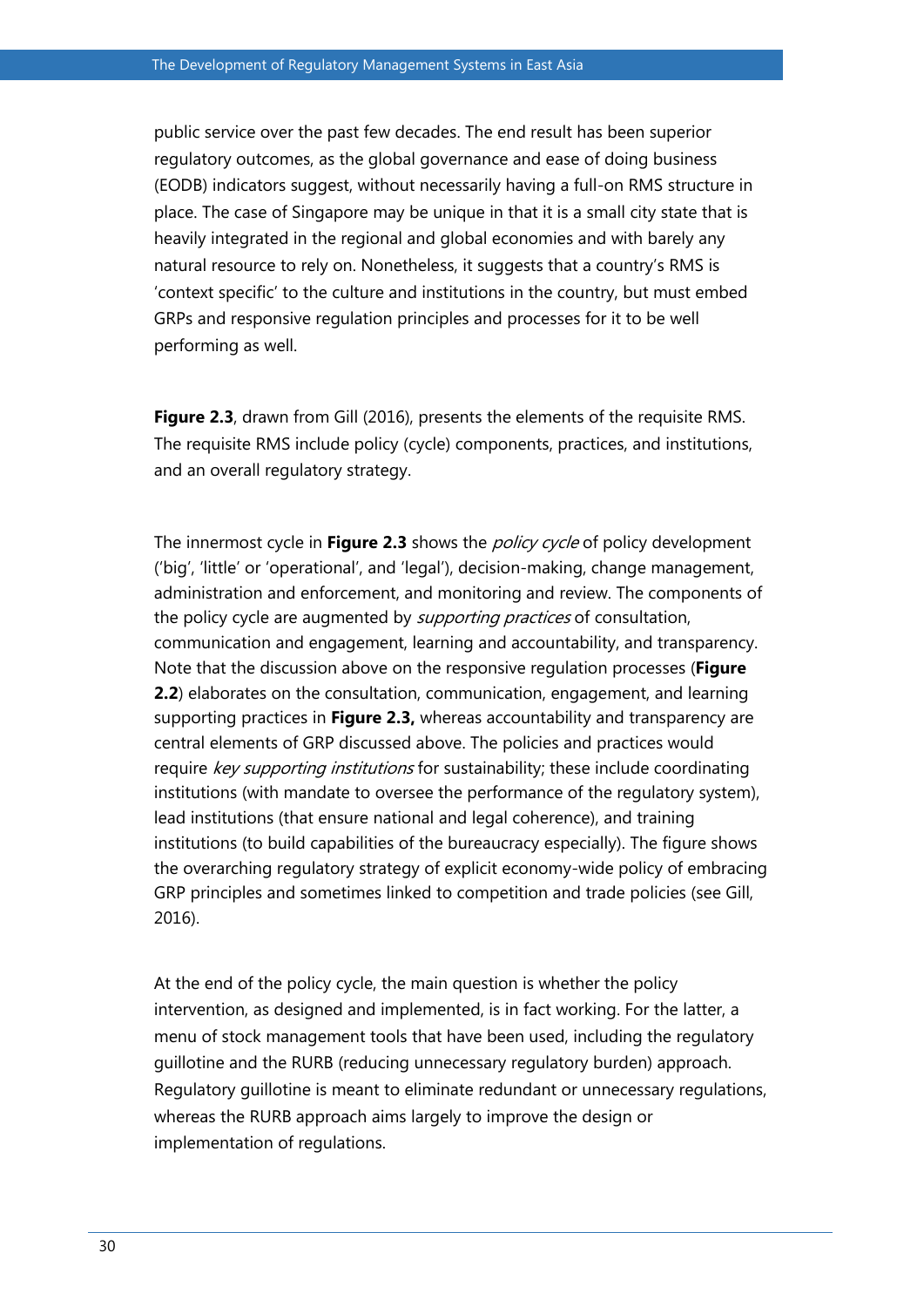public service over the past few decades. The end result has been superior regulatory outcomes, as the global governance and ease of doing business (EODB) indicators suggest, without necessarily having a full-on RMS structure in place. The case of Singapore may be unique in that it is a small city state that is heavily integrated in the regional and global economies and with barely any natural resource to rely on. Nonetheless, it suggests that a country's RMS is 'context specific' to the culture and institutions in the country, but must embed GRPs and responsive regulation principles and processes for it to be well performing as well.

**Figure 2.3**, drawn from Gill (2016), presents the elements of the requisite RMS. The requisite RMS include policy (cycle) components, practices, and institutions, and an overall regulatory strategy.

The innermost cycle in **Figure 2.3** shows the *policy cycle* of policy development ('big', 'little' or 'operational', and 'legal'), decision-making, change management, administration and enforcement, and monitoring and review. The components of the policy cycle are augmented by *supporting practices* of consultation, communication and engagement, learning and accountability, and transparency. Note that the discussion above on the responsive regulation processes (**Figure 2.2**) elaborates on the consultation, communication, engagement, and learning supporting practices in **Figure 2.3,** whereas accountability and transparency are central elements of GRP discussed above. The policies and practices would require key supporting institutions for sustainability; these include coordinating institutions (with mandate to oversee the performance of the regulatory system), lead institutions (that ensure national and legal coherence), and training institutions (to build capabilities of the bureaucracy especially). The figure shows the overarching regulatory strategy of explicit economy-wide policy of embracing GRP principles and sometimes linked to competition and trade policies (see Gill, 2016).

At the end of the policy cycle, the main question is whether the policy intervention, as designed and implemented, is in fact working. For the latter, a menu of stock management tools that have been used, including the regulatory guillotine and the RURB (reducing unnecessary regulatory burden) approach. Regulatory guillotine is meant to eliminate redundant or unnecessary regulations, whereas the RURB approach aims largely to improve the design or implementation of regulations.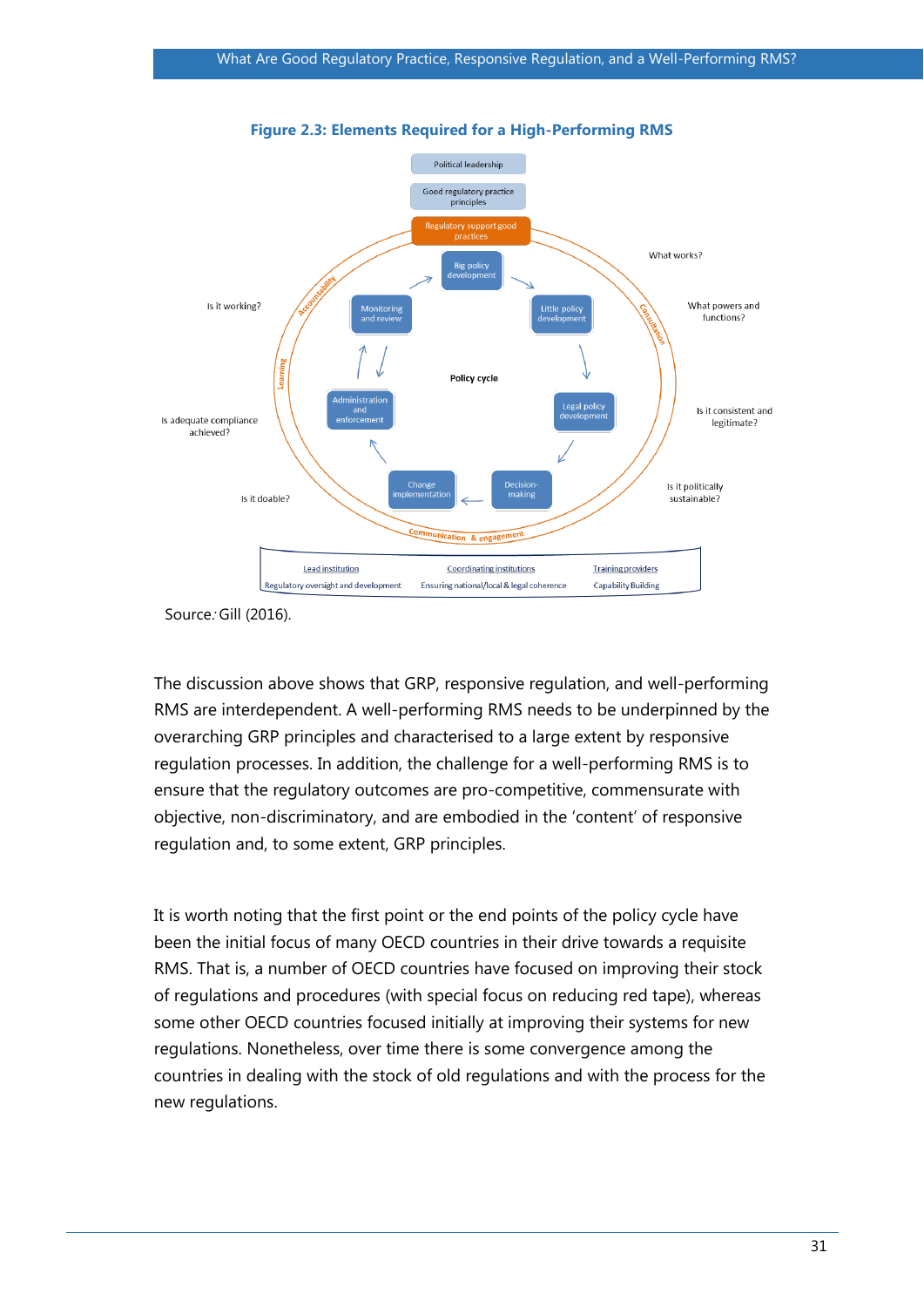



The discussion above shows that GRP, responsive regulation, and well-performing RMS are interdependent. A well-performing RMS needs to be underpinned by the overarching GRP principles and characterised to a large extent by responsive regulation processes. In addition, the challenge for a well-performing RMS is to ensure that the regulatory outcomes are pro-competitive, commensurate with objective, non-discriminatory, and are embodied in the 'content' of responsive regulation and, to some extent, GRP principles.

It is worth noting that the first point or the end points of the policy cycle have been the initial focus of many OECD countries in their drive towards a requisite RMS. That is, a number of OECD countries have focused on improving their stock of regulations and procedures (with special focus on reducing red tape), whereas some other OECD countries focused initially at improving their systems for new regulations. Nonetheless, over time there is some convergence among the countries in dealing with the stock of old regulations and with the process for the new regulations.

Source: Gill (2016).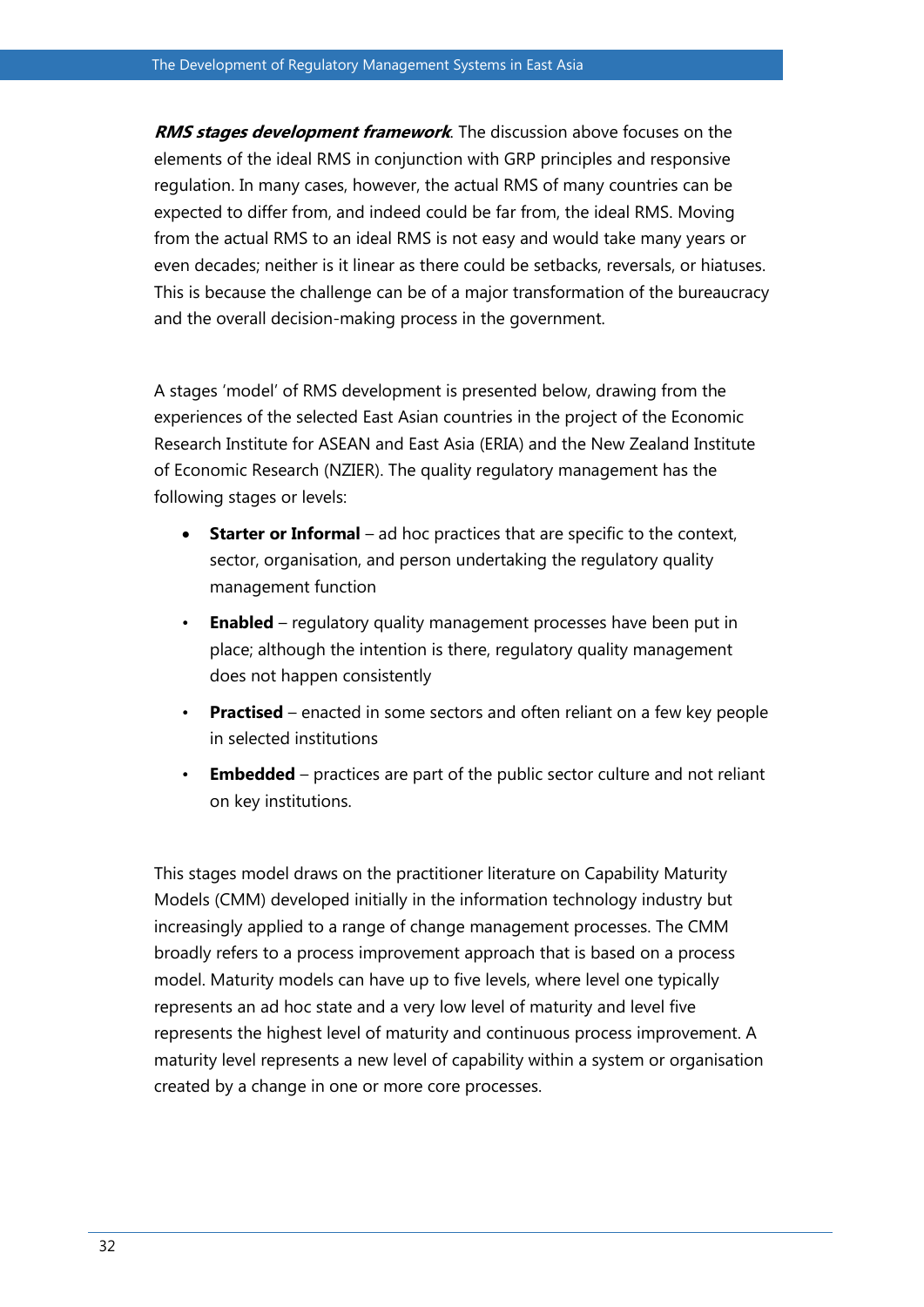**RMS stages development framework**. The discussion above focuses on the elements of the ideal RMS in conjunction with GRP principles and responsive regulation. In many cases, however, the actual RMS of many countries can be expected to differ from, and indeed could be far from, the ideal RMS. Moving from the actual RMS to an ideal RMS is not easy and would take many years or even decades; neither is it linear as there could be setbacks, reversals, or hiatuses. This is because the challenge can be of a major transformation of the bureaucracy and the overall decision-making process in the government.

A stages 'model' of RMS development is presented below, drawing from the experiences of the selected East Asian countries in the project of the Economic Research Institute for ASEAN and East Asia (ERIA) and the New Zealand Institute of Economic Research (NZIER). The quality regulatory management has the following stages or levels:

- **Starter or Informal** ad hoc practices that are specific to the context, sector, organisation, and person undertaking the regulatory quality management function
- **Enabled** regulatory quality management processes have been put in place; although the intention is there, regulatory quality management does not happen consistently
- **Practised** enacted in some sectors and often reliant on a few key people in selected institutions
- **Embedded** practices are part of the public sector culture and not reliant on key institutions.

This stages model draws on the practitioner literature on Capability Maturity Models (CMM) developed initially in the information technology industry but increasingly applied to a range of change management processes. The CMM broadly refers to a process improvement approach that is based on a process model. Maturity models can have up to five levels, where level one typically represents an ad hoc state and a very low level of maturity and level five represents the highest level of maturity and continuous process improvement. A maturity level represents a new level of capability within a system or organisation created by a change in one or more core processes.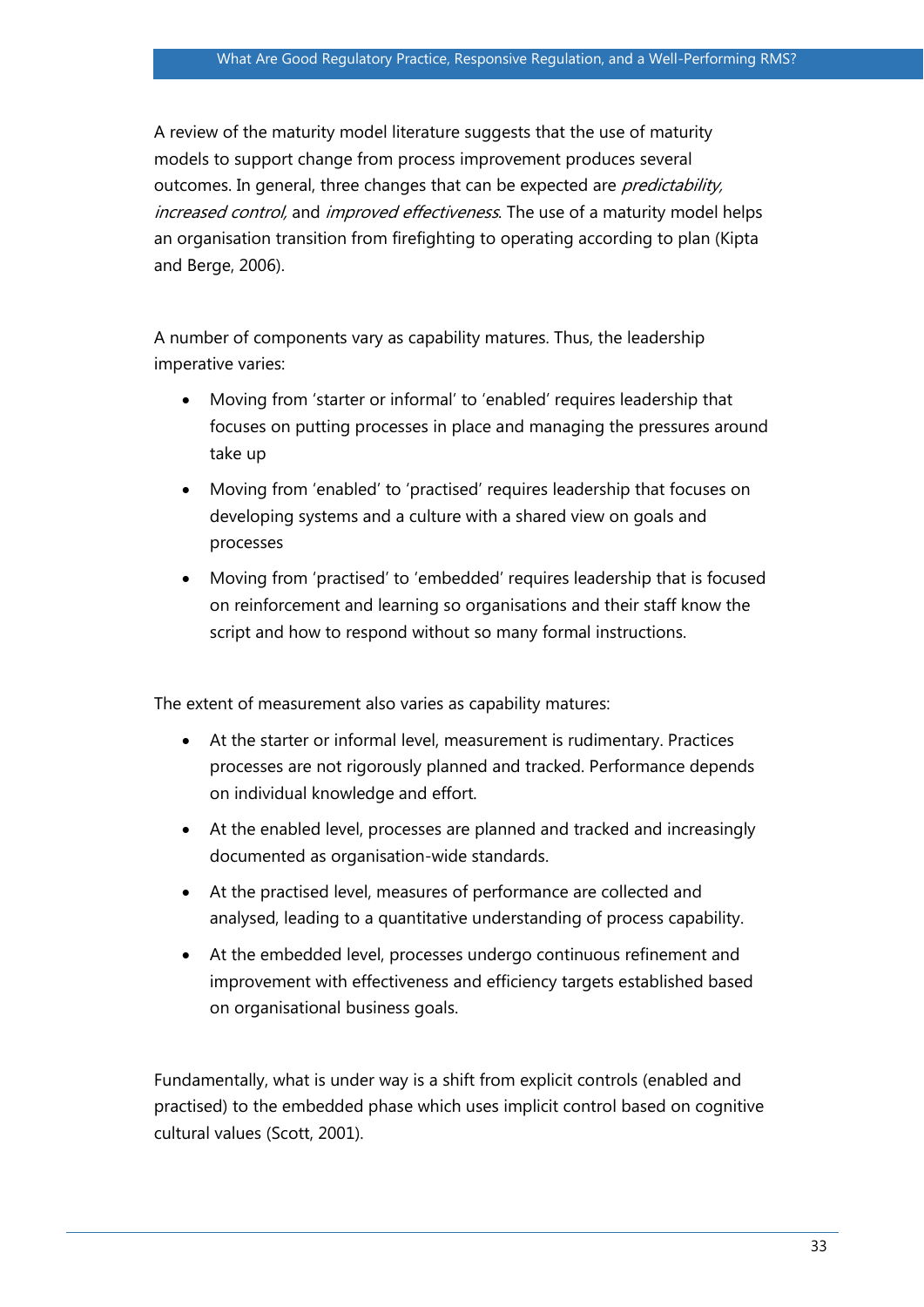A review of the maturity model literature suggests that the use of maturity models to support change from process improvement produces several outcomes. In general, three changes that can be expected are *predictability*, increased control, and improved effectiveness. The use of a maturity model helps an organisation transition from firefighting to operating according to plan (Kipta and Berge, 2006).

A number of components vary as capability matures. Thus, the leadership imperative varies:

- Moving from 'starter or informal' to 'enabled' requires leadership that focuses on putting processes in place and managing the pressures around take up
- Moving from 'enabled' to 'practised' requires leadership that focuses on developing systems and a culture with a shared view on goals and processes
- Moving from 'practised' to 'embedded' requires leadership that is focused on reinforcement and learning so organisations and their staff know the script and how to respond without so many formal instructions.

The extent of measurement also varies as capability matures:

- At the starter or informal level, measurement is rudimentary. Practices processes are not rigorously planned and tracked. Performance depends on individual knowledge and effort.
- At the enabled level, processes are planned and tracked and increasingly documented as organisation-wide standards.
- At the practised level, measures of performance are collected and analysed, leading to a quantitative understanding of process capability.
- At the embedded level, processes undergo continuous refinement and improvement with effectiveness and efficiency targets established based on organisational business goals.

Fundamentally, what is under way is a shift from explicit controls (enabled and practised) to the embedded phase which uses implicit control based on cognitive cultural values (Scott, 2001).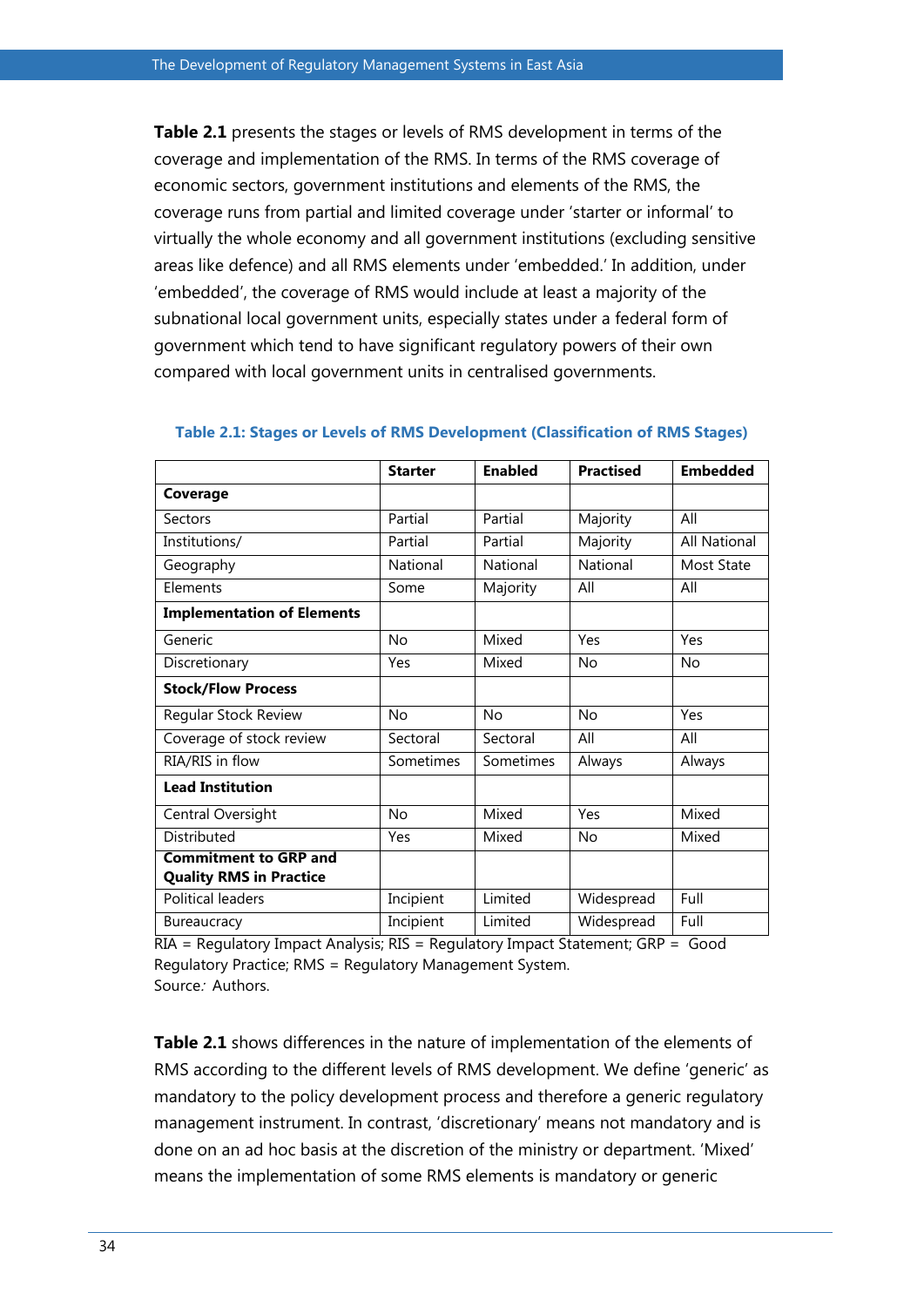**Table 2.1** presents the stages or levels of RMS development in terms of the coverage and implementation of the RMS. In terms of the RMS coverage of economic sectors, government institutions and elements of the RMS, the coverage runs from partial and limited coverage under 'starter or informal' to virtually the whole economy and all government institutions (excluding sensitive areas like defence) and all RMS elements under 'embedded.' In addition, under 'embedded', the coverage of RMS would include at least a majority of the subnational local government units, especially states under a federal form of government which tend to have significant regulatory powers of their own compared with local government units in centralised governments.

|                                                                | <b>Starter</b> | <b>Enabled</b> | <b>Practised</b> | <b>Embedded</b>     |
|----------------------------------------------------------------|----------------|----------------|------------------|---------------------|
| Coverage                                                       |                |                |                  |                     |
| Sectors                                                        | Partial        | Partial        | Majority         | All                 |
| Institutions/                                                  | Partial        | Partial        | Majority         | <b>All National</b> |
| Geography                                                      | National       | National       | National         | Most State          |
| Elements                                                       | Some           | Majority       | All              | All                 |
| <b>Implementation of Elements</b>                              |                |                |                  |                     |
| Generic                                                        | No             | Mixed          | Yes              | Yes                 |
| Discretionary                                                  | Yes            | Mixed          | No               | No                  |
| <b>Stock/Flow Process</b>                                      |                |                |                  |                     |
| Regular Stock Review                                           | No             | No             | <b>No</b>        | Yes                 |
| Coverage of stock review                                       | Sectoral       | Sectoral       | All              | All                 |
| RIA/RIS in flow                                                | Sometimes      | Sometimes      | Always           | Always              |
| <b>Lead Institution</b>                                        |                |                |                  |                     |
| Central Oversight                                              | No             | Mixed          | Yes              | Mixed               |
| Distributed                                                    | Yes            | Mixed          | <b>No</b>        | Mixed               |
| <b>Commitment to GRP and</b><br><b>Quality RMS in Practice</b> |                |                |                  |                     |
| <b>Political leaders</b>                                       | Incipient      | Limited        | Widespread       | Full                |
| Bureaucracy                                                    | Incipient      | Limited        | Widespread       | Full                |

#### **Table 2.1: Stages or Levels of RMS Development (Classification of RMS Stages)**

RIA = Regulatory Impact Analysis; RIS = Regulatory Impact Statement; GRP = Good Regulatory Practice; RMS = Regulatory Management System. Source: Authors.

**Table 2.1** shows differences in the nature of implementation of the elements of RMS according to the different levels of RMS development. We define 'generic' as mandatory to the policy development process and therefore a generic regulatory management instrument. In contrast, 'discretionary' means not mandatory and is done on an ad hoc basis at the discretion of the ministry or department. 'Mixed' means the implementation of some RMS elements is mandatory or generic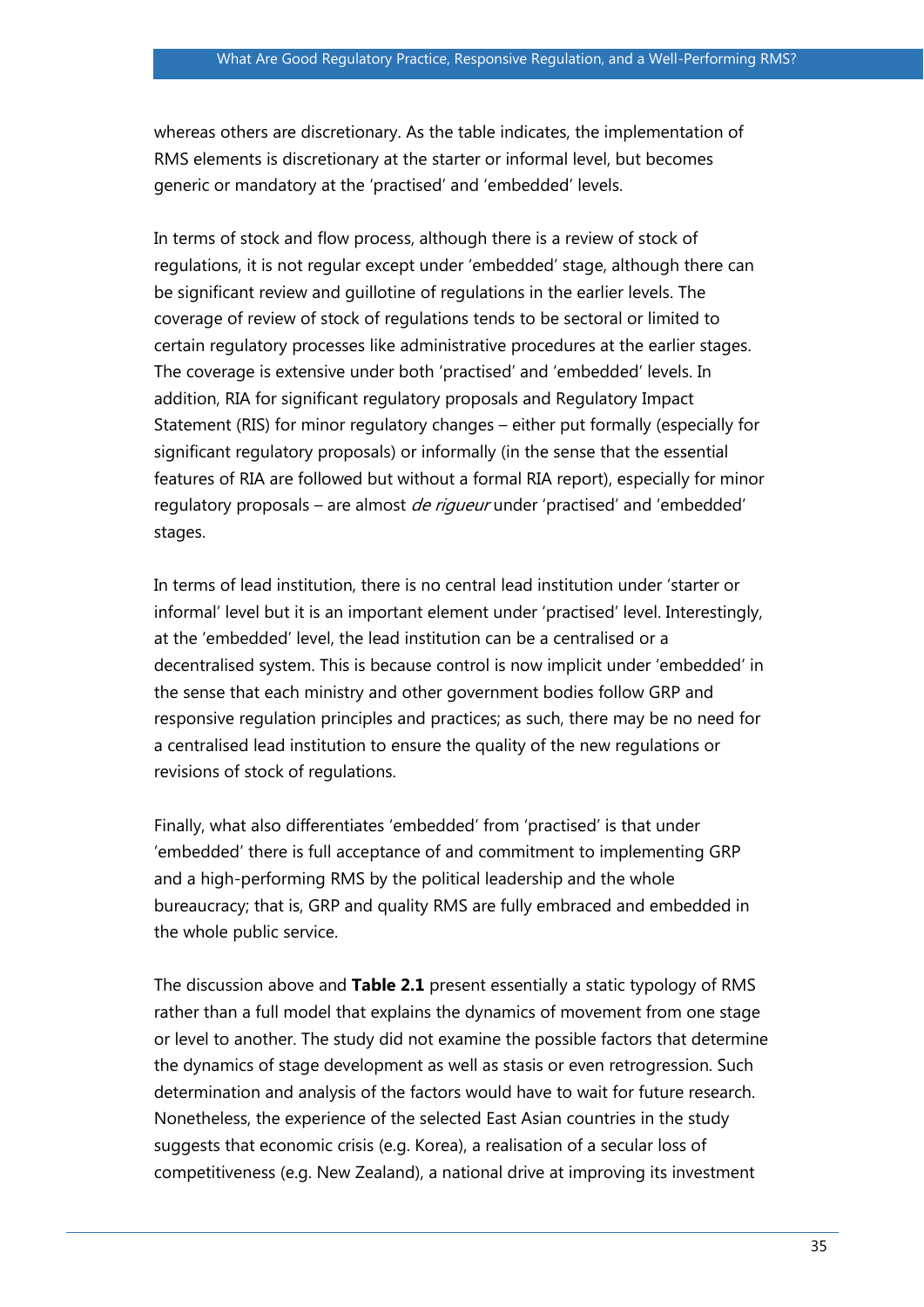whereas others are discretionary. As the table indicates, the implementation of RMS elements is discretionary at the starter or informal level, but becomes generic or mandatory at the 'practised' and 'embedded' levels.

In terms of stock and flow process, although there is a review of stock of regulations, it is not regular except under 'embedded' stage, although there can be significant review and guillotine of regulations in the earlier levels. The coverage of review of stock of regulations tends to be sectoral or limited to certain regulatory processes like administrative procedures at the earlier stages. The coverage is extensive under both 'practised' and 'embedded' levels. In addition, RIA for significant regulatory proposals and Regulatory Impact Statement (RIS) for minor regulatory changes – either put formally (especially for significant regulatory proposals) or informally (in the sense that the essential features of RIA are followed but without a formal RIA report), especially for minor regulatory proposals – are almost *de rigueur* under 'practised' and 'embedded' stages.

In terms of lead institution, there is no central lead institution under 'starter or informal' level but it is an important element under 'practised' level. Interestingly, at the 'embedded' level, the lead institution can be a centralised or a decentralised system. This is because control is now implicit under 'embedded' in the sense that each ministry and other government bodies follow GRP and responsive regulation principles and practices; as such, there may be no need for a centralised lead institution to ensure the quality of the new regulations or revisions of stock of regulations.

Finally, what also differentiates 'embedded' from 'practised' is that under 'embedded' there is full acceptance of and commitment to implementing GRP and a high-performing RMS by the political leadership and the whole bureaucracy; that is, GRP and quality RMS are fully embraced and embedded in the whole public service.

The discussion above and **Table 2.1** present essentially a static typology of RMS rather than a full model that explains the dynamics of movement from one stage or level to another. The study did not examine the possible factors that determine the dynamics of stage development as well as stasis or even retrogression. Such determination and analysis of the factors would have to wait for future research. Nonetheless, the experience of the selected East Asian countries in the study suggests that economic crisis (e.g. Korea), a realisation of a secular loss of competitiveness (e.g. New Zealand), a national drive at improving its investment